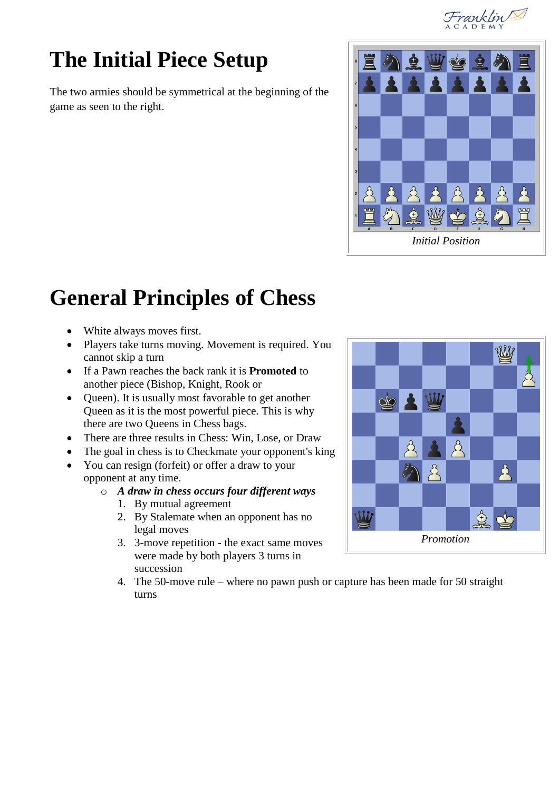Franklin

# **The Initial Piece Setup**

The two armies should be symmetrical at the beginning of the game as seen to the right.



# **General Principles of Chess**

- White always moves first.
- Players take turns moving. Movement is required. You cannot skip a turn
- If a Pawn reaches the back rank it is **Promoted** to another piece (Bishop, Knight, Rook or
- Queen). It is usually most favorable to get another Queen as it is the most powerful piece. This is why there are two Queens in Chess bags.
- There are three results in Chess: Win, Lose, or Draw
- The goal in chess is to Checkmate your opponent's king
- You can resign (forfeit) or offer a draw to your opponent at any time.

#### o *A draw in chess occurs four different ways*

- 1. By mutual agreement
- 2. By Stalemate when an opponent has no legal moves
- 3. 3-move repetition the exact same moves were made by both players 3 turns in succession
- 4. The 50-move rule where no pawn push or capture has been made for 50 straight turns

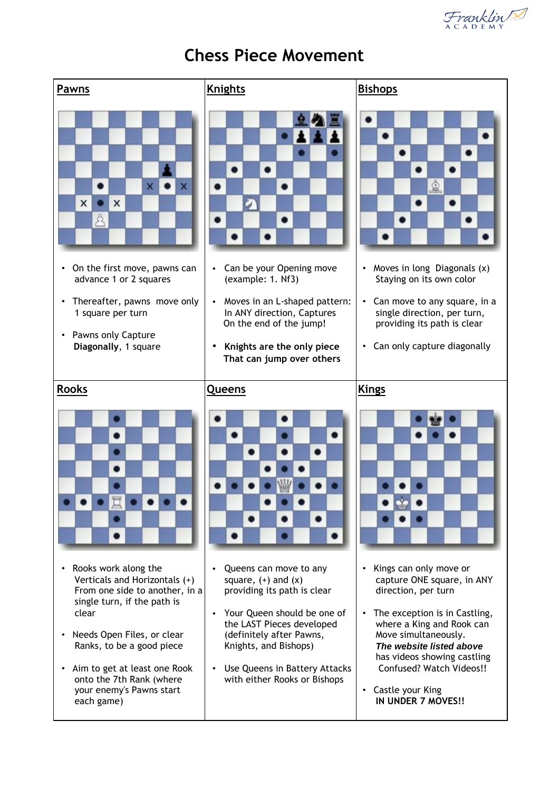Franklin



#### **Chess Piece Movement**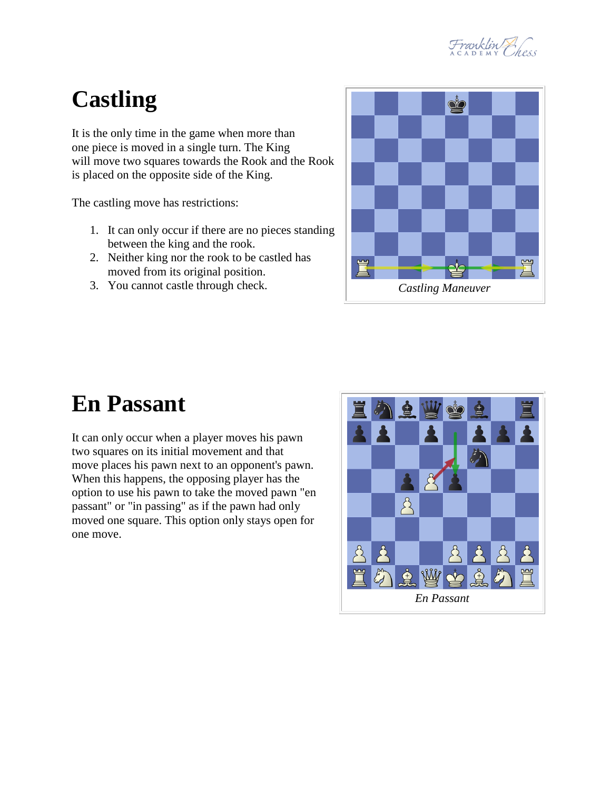

# **Castling**

It is the only time in the game when more than one piece is moved in a single turn. The King will move two squares towards the Rook and the Rook is placed on the opposite side of the King.

The castling move has restrictions:

- 1. It can only occur if there are no pieces standing between the king and the rook.
- 2. Neither king nor the rook to be castled has moved from its original position.
- 3. You cannot castle through check.



#### **En Passant**

It can only occur when a player moves his pawn two squares on its initial movement and that move places his pawn next to an opponent's pawn. When this happens, the opposing player has the option to use his pawn to take the moved pawn "en passant" or "in passing" as if the pawn had only moved one square. This option only stays open for one move.

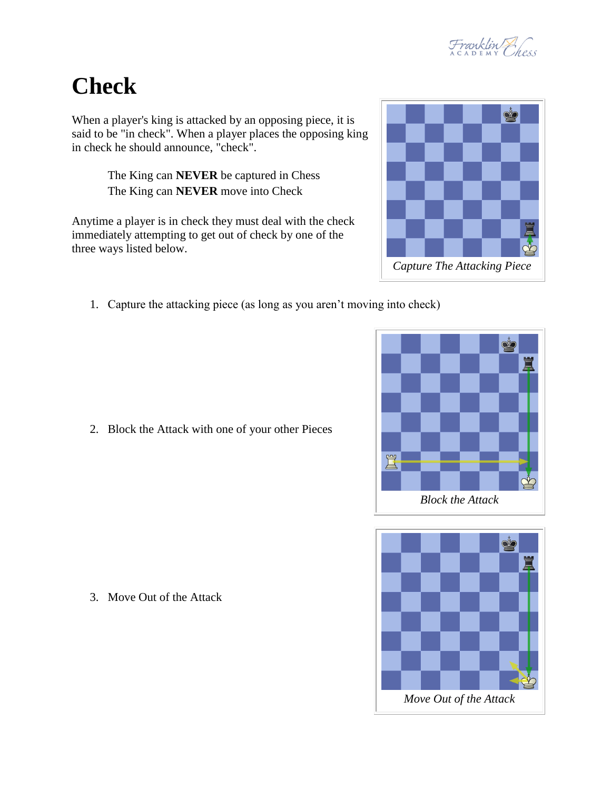

## **Check**

When a player's king is attacked by an opposing piece, it is said to be "in check". When a player places the opposing king in check he should announce, "check".

> The King can **NEVER** be captured in Chess The King can **NEVER** move into Check

Anytime a player is in check they must deal with the check immediately attempting to get out of check by one of the three ways listed below.

1. Capture the attacking piece (as long as you aren't moving into check)









3. Move Out of the Attack